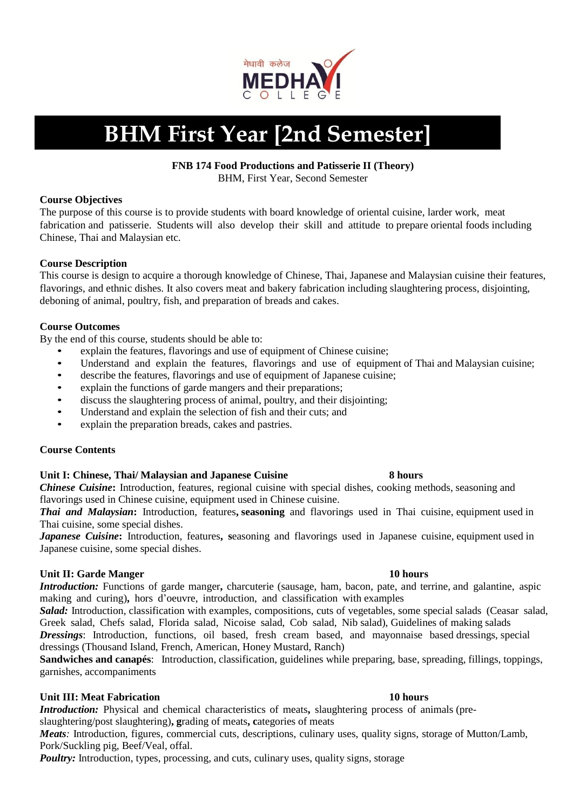

# **BHM First Year [2nd Semester]**

### **FNB 174 Food Productions and Patisserie II (Theory)**

BHM, First Year, Second Semester

### **Course Objectives**

The purpose of this course is to provide students with board knowledge of oriental cuisine, larder work, meat fabrication and patisserie. Students will also develop their skill and attitude to prepare oriental foods including Chinese, Thai and Malaysian etc.

### **Course Description**

This course is design to acquire a thorough knowledge of Chinese, Thai, Japanese and Malaysian cuisine their features, flavorings, and ethnic dishes. It also covers meat and bakery fabrication including slaughtering process, disjointing, deboning of animal, poultry, fish, and preparation of breads and cakes.

### **Course Outcomes**

By the end of this course, students should be able to:

- explain the features, flavorings and use of equipment of Chinese cuisine;
- Understand and explain the features, flavorings and use of equipment of Thai and Malaysian cuisine;<br>• describe the features, flavorings and use of equipment of Japanese cuisine:
- describe the features, flavorings and use of equipment of Japanese cuisine;<br>• explain the functions of garde mangers and their preparations:
- explain the functions of garde mangers and their preparations;
- discuss the slaughtering process of animal, poultry, and their disjointing;
- Understand and explain the selection of fish and their cuts; and
- explain the preparation breads, cakes and pastries.

### **Course Contents**

### **Unit I: Chinese, Thai/ Malaysian and Japanese Cuisine 8 hours**

*Chinese Cuisine***:** Introduction, features, regional cuisine with special dishes, cooking methods, seasoning and flavorings used in Chinese cuisine, equipment used in Chinese cuisine.

*Thai and Malaysian***:** Introduction, features**, seasoning** and flavorings used in Thai cuisine, equipment used in Thai cuisine, some special dishes.

*Japanese Cuisine***:** Introduction, features**, s**easoning and flavorings used in Japanese cuisine, equipment used in Japanese cuisine, some special dishes.

### **Unit II:** Garde Manger **10 hours**  10 hours **10 hours 10 hours**

*Introduction:* Functions of garde manger**,** charcuterie (sausage, ham, bacon, pate, and terrine, and galantine, aspic making and curing)**,** hors d'oeuvre, introduction, and classification with examples

*Salad:* Introduction, classification with examples, compositions, cuts of vegetables, some special salads (Ceasar salad, Greek salad, Chefs salad, Florida salad, Nicoise salad, Cob salad, Nib salad), Guidelines of making salads *Dressings*: Introduction, functions, oil based, fresh cream based, and mayonnaise based dressings, special dressings (Thousand Island, French, American, Honey Mustard, Ranch)

**Sandwiches and canapés**: Introduction, classification, guidelines while preparing, base, spreading, fillings, toppings, garnishes, accompaniments

### **Unit III:** Meat Fabrication **10 hours 10 hours**

*Introduction:* Physical and chemical characteristics of meats**,** slaughtering process of animals (preslaughtering/post slaughtering)**, g**rading of meats**, c**ategories of meats

*Meats*: Introduction, figures, commercial cuts, descriptions, culinary uses, quality signs, storage of Mutton/Lamb, Pork/Suckling pig, Beef/Veal, offal.

*Poultry:* Introduction, types, processing, and cuts, culinary uses, quality signs, storage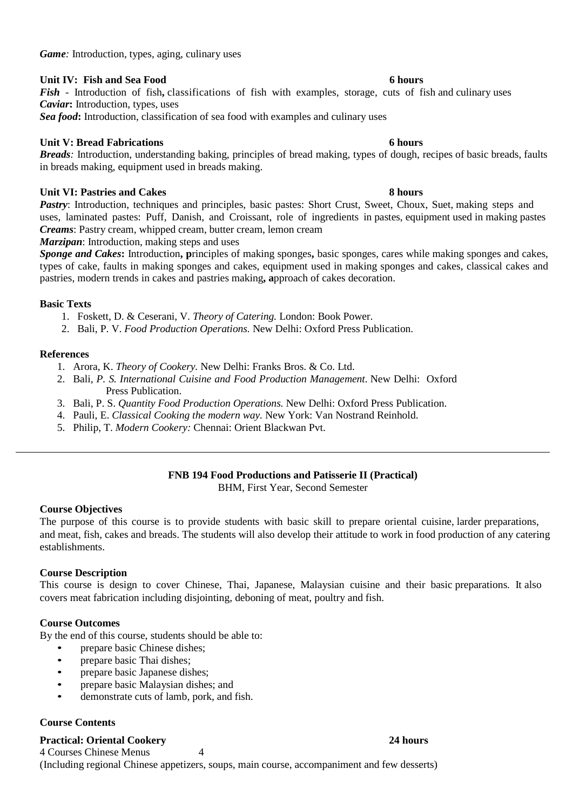# **Unit IV: Fish and Sea Food 6 hours**

*Fish* - Introduction of fish**,** classifications of fish with examples, storage, cuts of fish and culinary uses *Caviar***:** Introduction, types, uses

*Sea food***:** Introduction, classification of sea food with examples and culinary uses

# **Unit V:** Bread Fabrications **6 hours 6 hours**

*Breads:* Introduction, understanding baking, principles of bread making, types of dough, recipes of basic breads, faults in breads making, equipment used in breads making.

### **Unit VI:** Pastries and Cakes 8 hours

Pastry: Introduction, techniques and principles, basic pastes: Short Crust, Sweet, Choux, Suet, making steps and uses, laminated pastes: Puff, Danish, and Croissant, role of ingredients in pastes, equipment used in making pastes *Creams*: Pastry cream, whipped cream, butter cream, lemon cream

*Marzipan*: Introduction, making steps and uses

*Sponge and Cakes***:** Introduction**, p**rinciples of making sponges**,** basic sponges, cares while making sponges and cakes, types of cake, faults in making sponges and cakes, equipment used in making sponges and cakes, classical cakes and pastries, modern trends in cakes and pastries making**, a**pproach of cakes decoration.

### **Basic Texts**

1. Foskett, D. & Ceserani, V. *Theory of Catering.* London: Book Power.

2. Bali, P. V. *Food Production Operations.* New Delhi: Oxford Press Publication.

### **References**

- 1. Arora, K. *Theory of Cookery.* New Delhi: Franks Bros. & Co. Ltd.
- 2. Bali*, P. S. International Cuisine and Food Production Management.* New Delhi: Oxford Press Publication.
- 3. Bali, P. S. *Quantity Food Production Operations.* New Delhi: Oxford Press Publication.
- 4. Pauli, E. *Classical Cooking the modern way.* New York: Van Nostrand Reinhold.
- 5. Philip, T. *Modern Cookery:* Chennai: Orient Blackwan Pvt.

# **FNB 194 Food Productions and Patisserie II (Practical)**

BHM, First Year, Second Semester

# **Course Objectives**

The purpose of this course is to provide students with basic skill to prepare oriental cuisine, larder preparations, and meat, fish, cakes and breads. The students will also develop their attitude to work in food production of any catering establishments.

### **Course Description**

This course is design to cover Chinese, Thai, Japanese, Malaysian cuisine and their basic preparations. It also covers meat fabrication including disjointing, deboning of meat, poultry and fish.

### **Course Outcomes**

By the end of this course, students should be able to:

- prepare basic Chinese dishes;
- prepare basic Thai dishes;
- prepare basic Japanese dishes;
- prepare basic Malaysian dishes; and
- demonstrate cuts of lamb, pork, and fish.

### **Course Contents**

**Practical: Oriental Cookery 24 hours**

4 Courses Chinese Menus 4 (Including regional Chinese appetizers, soups, main course, accompaniment and few desserts)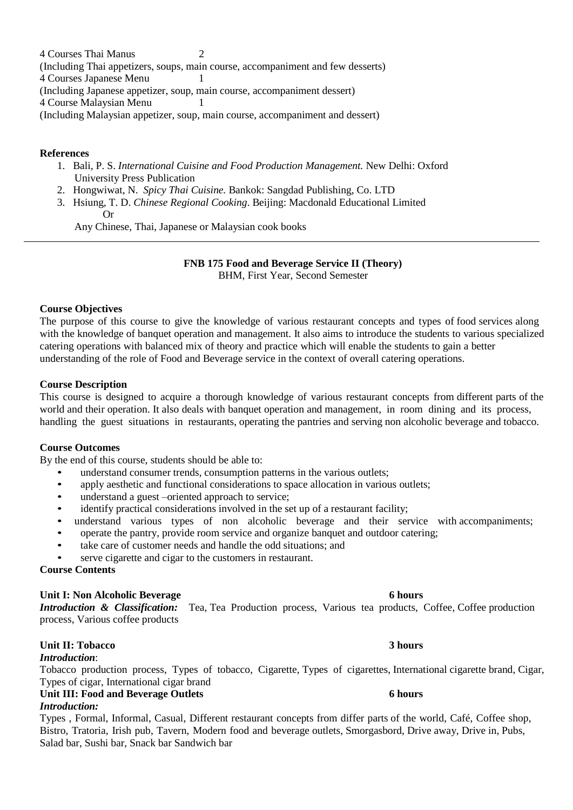4 Courses Thai Manus 2 (Including Thai appetizers, soups, main course, accompaniment and few desserts) 4 Courses Japanese Menu 1 (Including Japanese appetizer, soup, main course, accompaniment dessert) 4 Course Malaysian Menu 1 (Including Malaysian appetizer, soup, main course, accompaniment and dessert)

### **References**

- 1. Bali, P. S. *International Cuisine and Food Production Management.* New Delhi: Oxford University Press Publication
- 2. Hongwiwat, N. *Spicy Thai Cuisine.* Bankok: Sangdad Publishing, Co. LTD
- 3. Hsiung, T. D. *Chinese Regional Cooking*. Beijing: Macdonald Educational Limited Or

Any Chinese, Thai, Japanese or Malaysian cook books

# **FNB 175 Food and Beverage Service II (Theory)**

BHM, First Year, Second Semester

### **Course Objectives**

The purpose of this course to give the knowledge of various restaurant concepts and types of food services along with the knowledge of banquet operation and management. It also aims to introduce the students to various specialized catering operations with balanced mix of theory and practice which will enable the students to gain a better understanding of the role of Food and Beverage service in the context of overall catering operations.

### **Course Description**

This course is designed to acquire a thorough knowledge of various restaurant concepts from different parts of the world and their operation. It also deals with banquet operation and management, in room dining and its process, handling the guest situations in restaurants, operating the pantries and serving non alcoholic beverage and tobacco.

### **Course Outcomes**

By the end of this course, students should be able to:

- understand consumer trends, consumption patterns in the various outlets;
- apply aesthetic and functional considerations to space allocation in various outlets;
- understand a guest –oriented approach to service;
- identify practical considerations involved in the set up of a restaurant facility;
- understand various types of non alcoholic beverage and their service with accompaniments;
- operate the pantry, provide room service and organize banquet and outdoor catering;
- take care of customer needs and handle the odd situations; and
- serve cigarette and cigar to the customers in restaurant.

### **Course Contents**

### **Unit I: Non Alcoholic Beverage 6 hours**

*Introduction & Classification:* Tea, Tea Production process, Various tea products, Coffee, Coffee production process, Various coffee products

### **Unit II: Tobacco 3 hours**

### *Introduction*:

Tobacco production process, Types of tobacco, Cigarette, Types of cigarettes, International cigarette brand, Cigar, Types of cigar, International cigar brand

### **Unit III: Food and Beverage Outlets 6 hours**

### *Introduction:*

Types , Formal, Informal, Casual, Different restaurant concepts from differ parts of the world, Café, Coffee shop, Bistro, Tratoria, Irish pub, Tavern, Modern food and beverage outlets, Smorgasbord, Drive away, Drive in, Pubs, Salad bar, Sushi bar, Snack bar Sandwich bar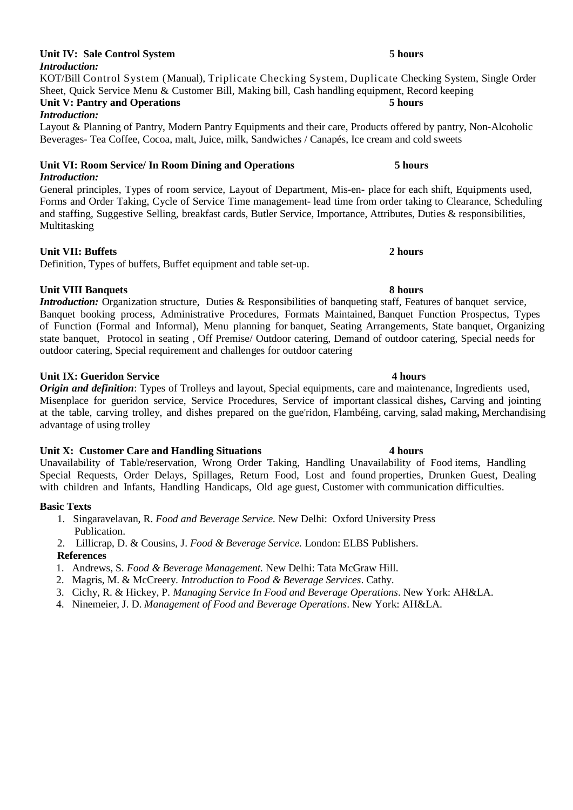### **Unit IV: Sale Control System 5 hours**  *Introduction:*

KOT/Bill Control System (Manual), Triplicate Checking System, Duplicate Checking System, Single Order Sheet, Quick Service Menu & Customer Bill, Making bill, Cash handling equipment, Record keeping **Unit V: Pantry and Operations 5 hours** 

### *Introduction:*

Layout & Planning of Pantry, Modern Pantry Equipments and their care, Products offered by pantry, Non-Alcoholic Beverages- Tea Coffee, Cocoa, malt, Juice, milk, Sandwiches / Canapés, Ice cream and cold sweets

### **Unit VI: Room Service/ In Room Dining and Operations 5 hours**  *Introduction:*

General principles, Types of room service, Layout of Department, Mis-en- place for each shift, Equipments used, Forms and Order Taking, Cycle of Service Time management- lead time from order taking to Clearance, Scheduling and staffing, Suggestive Selling, breakfast cards, Butler Service, Importance, Attributes, Duties & responsibilities, Multitasking

### **Unit VII: Buffets 2 hours**

Definition, Types of buffets, Buffet equipment and table set-up.

### **Unit VIII Banquets 8 hours**

*Introduction:* Organization structure, Duties & Responsibilities of banqueting staff, Features of banquet service, Banquet booking process, Administrative Procedures, Formats Maintained, Banquet Function Prospectus, Types of Function (Formal and Informal), Menu planning for banquet, Seating Arrangements, State banquet, Organizing state banquet, Protocol in seating , Off Premise/ Outdoor catering, Demand of outdoor catering, Special needs for outdoor catering, Special requirement and challenges for outdoor catering

### **Unit IX: Gueridon Service 4 hours**

*Origin and definition*: Types of Trolleys and layout, Special equipments, care and maintenance, Ingredients used, Misenplace for gueridon service, Service Procedures, Service of important classical dishes**,** Carving and jointing at the table, carving trolley, and dishes prepared on the gue'ridon, Flambéing, carving, salad making**,** Merchandising advantage of using trolley

### **Unit X: Customer Care and Handling Situations 4 hours**

Unavailability of Table/reservation, Wrong Order Taking, Handling Unavailability of Food items, Handling Special Requests, Order Delays, Spillages, Return Food, Lost and found properties, Drunken Guest, Dealing with children and Infants, Handling Handicaps, Old age guest, Customer with communication difficulties.

### **Basic Texts**

- 1. Singaravelavan, R. *Food and Beverage Service.* New Delhi: Oxford University Press Publication.
- 2. Lillicrap, D. & Cousins, J. *Food & Beverage Service.* London: ELBS Publishers.

### **References**

- 1. Andrews, S. *Food & Beverage Management.* New Delhi: Tata McGraw Hill.
- 2. Magris, M. & McCreery. *Introduction to Food & Beverage Services*. Cathy.
- 3. Cichy, R. & Hickey, P. *Managing Service In Food and Beverage Operations*. New York: AH&LA.
- 4. Ninemeier, J. D. *Management of Food and Beverage Operations*. New York: AH&LA.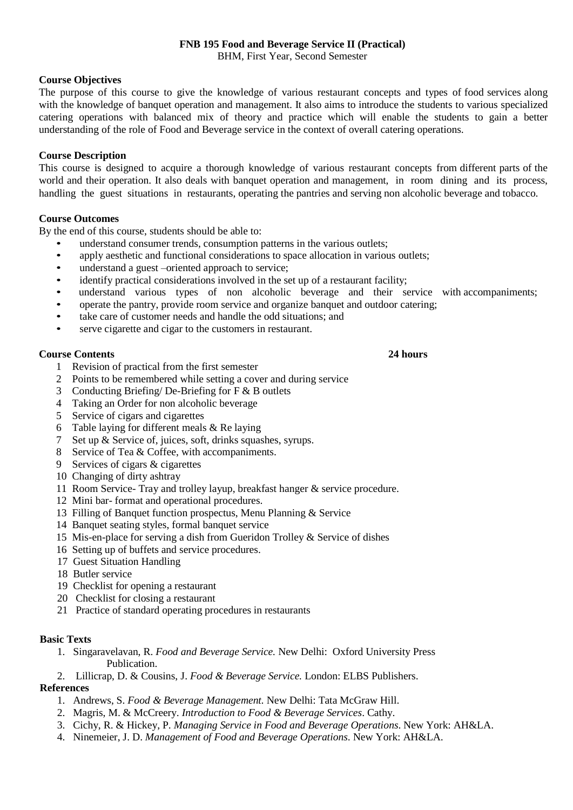# **FNB 195 Food and Beverage Service II (Practical)**

BHM, First Year, Second Semester

### **Course Objectives**

The purpose of this course to give the knowledge of various restaurant concepts and types of food services along with the knowledge of banquet operation and management. It also aims to introduce the students to various specialized catering operations with balanced mix of theory and practice which will enable the students to gain a better understanding of the role of Food and Beverage service in the context of overall catering operations.

### **Course Description**

This course is designed to acquire a thorough knowledge of various restaurant concepts from different parts of the world and their operation. It also deals with banquet operation and management, in room dining and its process, handling the guest situations in restaurants, operating the pantries and serving non alcoholic beverage and tobacco.

### **Course Outcomes**

By the end of this course, students should be able to:

- understand consumer trends, consumption patterns in the various outlets;
- apply aesthetic and functional considerations to space allocation in various outlets;<br>• understand a guest –oriented approach to service:
- understand a guest –oriented approach to service;<br>• identify practical considerations involved in the se
- identify practical considerations involved in the set up of a restaurant facility;<br>• understand various types of non-alcoholic beverage and their set
- understand various types of non alcoholic beverage and their service with accompaniments;
- operate the pantry, provide room service and organize banquet and outdoor catering;
- take care of customer needs and handle the odd situations; and
- serve cigarette and cigar to the customers in restaurant.

### **Course Contents 24 hours**

- 1 Revision of practical from the first semester
- 2 Points to be remembered while setting a cover and during service
- 3 Conducting Briefing/ De-Briefing for F & B outlets
- 4 Taking an Order for non alcoholic beverage
- 5 Service of cigars and cigarettes
- 6 Table laying for different meals & Re laying
- 7 Set up & Service of, juices, soft, drinks squashes, syrups.
- 8 Service of Tea & Coffee, with accompaniments.
- 9 Services of cigars & cigarettes
- 10 Changing of dirty ashtray
- 11 Room Service- Tray and trolley layup, breakfast hanger & service procedure.
- 12 Mini bar- format and operational procedures.
- 13 Filling of Banquet function prospectus, Menu Planning & Service
- 14 Banquet seating styles, formal banquet service
- 15 Mis-en-place for serving a dish from Gueridon Trolley & Service of dishes
- 16 Setting up of buffets and service procedures.
- 17 Guest Situation Handling
- 18 Butler service
- 19 Checklist for opening a restaurant
- 20 Checklist for closing a restaurant
- 21 Practice of standard operating procedures in restaurants

### **Basic Texts**

- 1. Singaravelavan, R. *Food and Beverage Service.* New Delhi: Oxford University Press Publication.
- 2. Lillicrap, D. & Cousins, J. *Food & Beverage Service.* London: ELBS Publishers.

### **References**

- 1. Andrews, S. *Food & Beverage Management.* New Delhi: Tata McGraw Hill.
- 2. Magris, M. & McCreery. *Introduction to Food & Beverage Services*. Cathy.
- 3. Cichy, R. & Hickey, P. *Managing Service in Food and Beverage Operations*. New York: AH&LA.
- 4. Ninemeier, J. D. *Management of Food and Beverage Operations*. New York: AH&LA.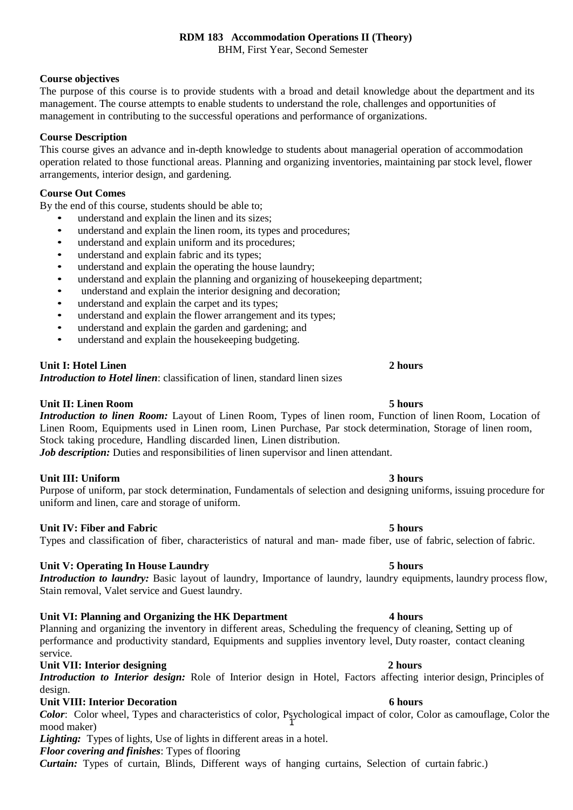## **RDM 183 Accommodation Operations II (Theory)**

BHM, First Year, Second Semester

### **Course objectives**

The purpose of this course is to provide students with a broad and detail knowledge about the department and its management. The course attempts to enable students to understand the role, challenges and opportunities of management in contributing to the successful operations and performance of organizations.

### **Course Description**

This course gives an advance and in-depth knowledge to students about managerial operation of accommodation operation related to those functional areas. Planning and organizing inventories, maintaining par stock level, flower arrangements, interior design, and gardening.

### **Course Out Comes**

By the end of this course, students should be able to;

- understand and explain the linen and its sizes;
- understand and explain the linen room, its types and procedures;
- understand and explain uniform and its procedures;
- understand and explain fabric and its types;
- understand and explain the operating the house laundry;
- understand and explain the planning and organizing of housekeeping department;
- understand and explain the interior designing and decoration;
- understand and explain the carpet and its types;
- understand and explain the flower arrangement and its types;
- understand and explain the garden and gardening; and
- understand and explain the housekeeping budgeting.

### **Unit I: Hotel Linen 2 hours**

*Introduction to Hotel linen*: classification of linen, standard linen sizes

**Unit II: Linen Room 5 hours**  *Introduction to linen Room:* Layout of Linen Room, Types of linen room, Function of linen Room, Location of Linen Room, Equipments used in Linen room, Linen Purchase, Par stock determination, Storage of linen room, Stock taking procedure, Handling discarded linen, Linen distribution.

*Job description:* Duties and responsibilities of linen supervisor and linen attendant.

### **Unit III: Uniform 3 hours**

Purpose of uniform, par stock determination, Fundamentals of selection and designing uniforms, issuing procedure for uniform and linen, care and storage of uniform.

### **Unit IV: Fiber and Fabric 5 hours**

# Types and classification of fiber, characteristics of natural and man- made fiber, use of fabric, selection of fabric.

### **Unit V: Operating In House Laundry 5 hours**

*Introduction to laundry:* Basic layout of laundry, Importance of laundry, laundry equipments, laundry process flow, Stain removal, Valet service and Guest laundry.

### **Unit VI: Planning and Organizing the HK Department 4 hours**

Planning and organizing the inventory in different areas, Scheduling the frequency of cleaning, Setting up of performance and productivity standard, Equipments and supplies inventory level, Duty roaster, contact cleaning service.

### **Unit VII: Interior designing 2 hours**

*Introduction to Interior design:* Role of Interior design in Hotel, Factors affecting interior design, Principles of design.

### **Unit VIII: Interior Decoration 6 hours**

1 *Color*: Color wheel, Types and characteristics of color, Psychological impact of color, Color as camouflage, Color the mood maker)

*Lighting:* Types of lights, Use of lights in different areas in a hotel.

*Floor covering and finishes*: Types of flooring

*Curtain:* Types of curtain, Blinds, Different ways of hanging curtains, Selection of curtain fabric.)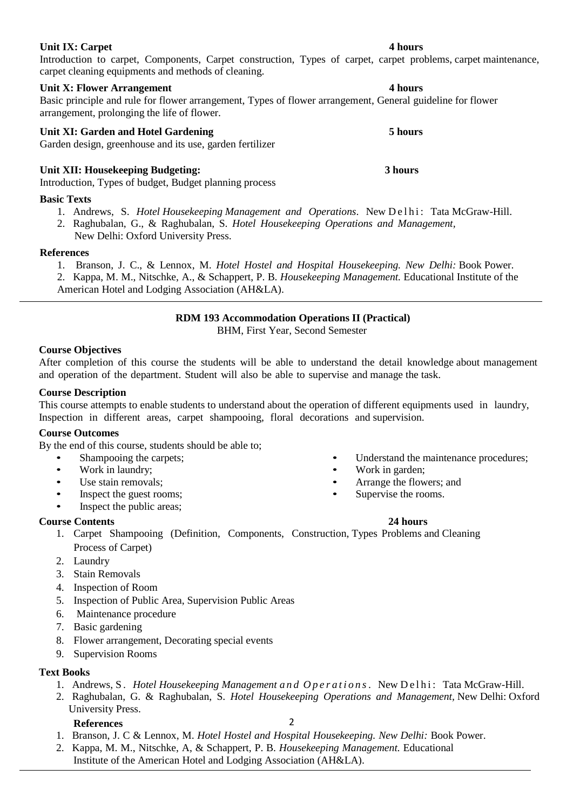Introduction to carpet, Components, Carpet construction, Types of carpet, carpet problems, carpet maintenance, carpet cleaning equipments and methods of cleaning.

# **Unit X: Flower Arrangement 4 hours**

Basic principle and rule for flower arrangement, Types of flower arrangement, General guideline for flower arrangement, prolonging the life of flower.

# **Unit XI: Garden and Hotel Gardening 5 hours**

Garden design, greenhouse and its use, garden fertilizer

# **Unit XII: Housekeeping Budgeting: 3 hours**

Introduction, Types of budget, Budget planning process

# **Basic Texts**

1. Andrews, S. *Hotel Housekeeping Management and Operations*. New Delhi: Tata McGraw-Hill.

2. Raghubalan, G., & Raghubalan, S. *Hotel Housekeeping Operations and Management,*

New Delhi: Oxford University Press.

# **References**

- 1. Branson, J. C., & Lennox, M. *Hotel Hostel and Hospital Housekeeping. New Delhi:* Book Power.
- 2. Kappa, M. M., Nitschke, A., & Schappert, P. B. *Housekeeping Management.* Educational Institute of the

American Hotel and Lodging Association (AH&LA).

# **RDM 193 Accommodation Operations II (Practical)**

BHM, First Year, Second Semester

# **Course Objectives**

After completion of this course the students will be able to understand the detail knowledge about management and operation of the department. Student will also be able to supervise and manage the task.

# **Course Description**

This course attempts to enable students to understand about the operation of different equipments used in laundry, Inspection in different areas, carpet shampooing, floral decorations and supervision.

# **Course Outcomes**

By the end of this course, students should be able to;

- Shampooing the carpets;
- Work in laundry;<br>• I Ise stain removal
- Use stain removals;
- Inspect the guest rooms;
- Inspect the public areas;

# **Course Contents 24 hours**

- Understand the maintenance procedures;
- Work in garden:
- Arrange the flowers; and
- Supervise the rooms.

- 1. Carpet Shampooing (Definition, Components, Construction, Types, Problems and Cleaning Process of Carpet)
- 2. Laundry
- 3. Stain Removals
- 4. Inspection of Room
- 5. Inspection of Public Area, Supervision Public Areas
- 6. Maintenance procedure
- 7. Basic gardening
- 8. Flower arrangement, Decorating special events
- 9. Supervision Rooms

# **Text Books**

- 1. Andrews, S. *Hotel Housekeeping Management and Operations*. New Delhi: Tata McGraw-Hill.
- 2. Raghubalan, G. & Raghubalan, S. *Hotel Housekeeping Operations and Management,* New Delhi: Oxford University Press.

### **References**

- 2
- 1. Branson, J. C & Lennox, M. *Hotel Hostel and Hospital Housekeeping. New Delhi:* Book Power.
- 2. Kappa, M. M., Nitschke, A, & Schappert, P. B. *Housekeeping Management.* Educational Institute of the American Hotel and Lodging Association (AH&LA).

# **Unit IX: Carpet 4 hours**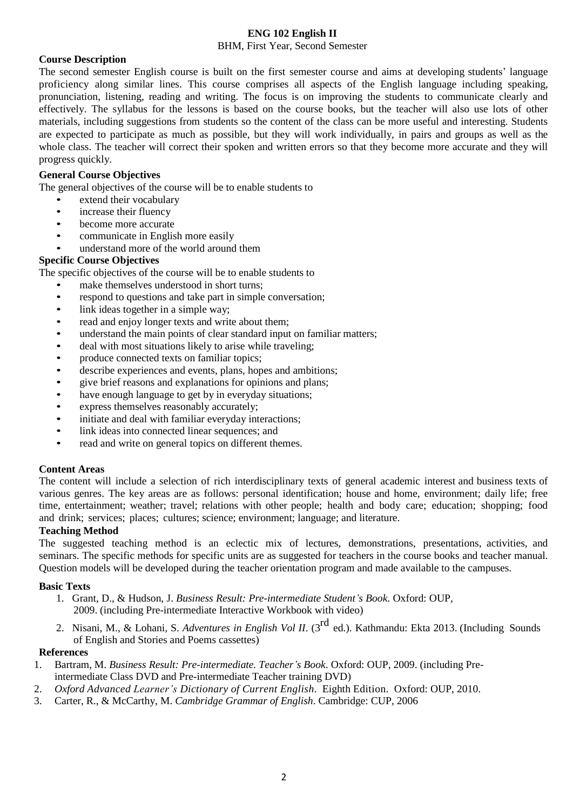### **ENG 102 English II**

BHM, First Year, Second Semester

### **Course Description**

The second semester English course is built on the first semester course and aims at developing students' language proficiency along similar lines. This course comprises all aspects of the English language including speaking, pronunciation, listening, reading and writing. The focus is on improving the students to communicate clearly and effectively. The syllabus for the lessons is based on the course books, but the teacher will also use lots of other materials, including suggestions from students so the content of the class can be more useful and interesting. Students are expected to participate as much as possible, but they will work individually, in pairs and groups as well as the whole class. The teacher will correct their spoken and written errors so that they become more accurate and they will progress quickly.

### **General Course Objectives**

The general objectives of the course will be to enable students to

- extend their vocabulary
- increase their fluency
- become more accurate
- communicate in English more easily
- understand more of the world around them

### **Specific Course Objectives**

The specific objectives of the course will be to enable students to

- make themselves understood in short turns;
- respond to questions and take part in simple conversation;<br>• link ideas together in a simple way:
- link ideas together in a simple way;
- read and enjoy longer texts and write about them;<br>• understand the main points of clear standard input
- understand the main points of clear standard input on familiar matters;
- deal with most situations likely to arise while traveling;
- produce connected texts on familiar topics;
- describe experiences and events, plans, hopes and ambitions;
- give brief reasons and explanations for opinions and plans;
- have enough language to get by in everyday situations;
- express themselves reasonably accurately;
- initiate and deal with familiar everyday interactions;
- link ideas into connected linear sequences; and
- read and write on general topics on different themes.

### **Content Areas**

The content will include a selection of rich interdisciplinary texts of general academic interest and business texts of various genres. The key areas are as follows: personal identification; house and home, environment; daily life; free time, entertainment; weather; travel; relations with other people; health and body care; education; shopping; food and drink; services; places; cultures; science; environment; language; and literature.

### **Teaching Method**

The suggested teaching method is an eclectic mix of lectures, demonstrations, presentations, activities, and seminars. The specific methods for specific units are as suggested for teachers in the course books and teacher manual. Question models will be developed during the teacher orientation program and made available to the campuses.

### **Basic Texts**

- 1. Grant, D., & Hudson, J. *Business Result: Pre-intermediate Student's Book*. Oxford: OUP, 2009. (including Pre-intermediate Interactive Workbook with video)
- 2. Nisani, M., & Lohani, S. *Adventures in English Vol II*. (3 rd ed.). Kathmandu: Ekta 2013. (Including Sounds of English and Stories and Poems cassettes)

### **References**

- 1. Bartram, M. *Business Result: Pre-intermediate. Teacher's Book*. Oxford: OUP, 2009. (including Preintermediate Class DVD and Pre-intermediate Teacher training DVD)
- 2. *Oxford Advanced Learner's Dictionary of Current English*. Eighth Edition. Oxford: OUP, 2010.
- 3. Carter, R., & McCarthy, M. *Cambridge Grammar of English*. Cambridge: CUP, 2006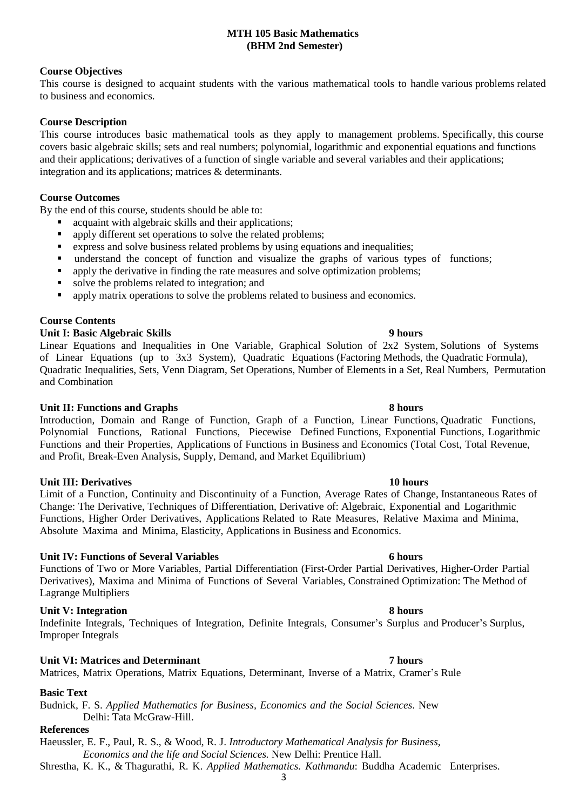### **MTH 105 Basic Mathematics (BHM 2nd Semester)**

### **Course Objectives**

This course is designed to acquaint students with the various mathematical tools to handle various problems related to business and economics.

### **Course Description**

This course introduces basic mathematical tools as they apply to management problems. Specifically, this course covers basic algebraic skills; sets and real numbers; polynomial, logarithmic and exponential equations and functions and their applications; derivatives of a function of single variable and several variables and their applications; integration and its applications; matrices & determinants.

### **Course Outcomes**

By the end of this course, students should be able to:

- acquaint with algebraic skills and their applications;
- **•** apply different set operations to solve the related problems;
- express and solve business related problems by using equations and inequalities;
- understand the concept of function and visualize the graphs of various types of functions;<br>■ annly the derivative in finding the rate measures and solve optimization problems:
- apply the derivative in finding the rate measures and solve optimization problems;<br>■ solve the problems related to integration: and
- solve the problems related to integration; and
- **•** apply matrix operations to solve the problems related to business and economics.

### **Course Contents**

### **Unit I: Basic Algebraic Skills 9 hours**

Linear Equations and Inequalities in One Variable, Graphical Solution of 2x2 System, Solutions of Systems of Linear Equations (up to 3x3 System), Quadratic Equations (Factoring Methods, the Quadratic Formula), Quadratic Inequalities, Sets, Venn Diagram, Set Operations, Number of Elements in a Set, Real Numbers, Permutation and Combination

### **Unit II: Functions and Graphs 8 hours**

Introduction, Domain and Range of Function, Graph of a Function, Linear Functions, Quadratic Functions, Polynomial Functions, Rational Functions, Piecewise Defined Functions, Exponential Functions, Logarithmic Functions and their Properties, Applications of Functions in Business and Economics (Total Cost, Total Revenue, and Profit, Break-Even Analysis, Supply, Demand, and Market Equilibrium)

### **Unit III:** Derivatives **10 hours 10 hours**

Limit of a Function, Continuity and Discontinuity of a Function, Average Rates of Change, Instantaneous Rates of Change: The Derivative, Techniques of Differentiation, Derivative of: Algebraic, Exponential and Logarithmic Functions, Higher Order Derivatives, Applications Related to Rate Measures, Relative Maxima and Minima, Absolute Maxima and Minima, Elasticity, Applications in Business and Economics.

### **Unit IV: Functions of Several Variables 6 hours**

Functions of Two or More Variables, Partial Differentiation (First-Order Partial Derivatives, Higher-Order Partial Derivatives), Maxima and Minima of Functions of Several Variables, Constrained Optimization: The Method of Lagrange Multipliers

### **Unit V: Integration 8 hours**

Indefinite Integrals, Techniques of Integration, Definite Integrals, Consumer's Surplus and Producer's Surplus, Improper Integrals

### **Unit VI: Matrices and Determinant 7 hours**

### Matrices, Matrix Operations, Matrix Equations, Determinant, Inverse of a Matrix, Cramer's Rule

# **Basic Text**

Budnick, F. S. *Applied Mathematics for Business, Economics and the Social Sciences*. New Delhi: Tata McGraw-Hill.

### **References**

Haeussler, E. F., Paul, R. S., & Wood, R. J. *Introductory Mathematical Analysis for Business, Economics and the life and Social Sciences.* New Delhi: Prentice Hall.

Shrestha, K. K., & Thagurathi, R. K. *Applied Mathematics. Kathmandu*: Buddha Academic Enterprises.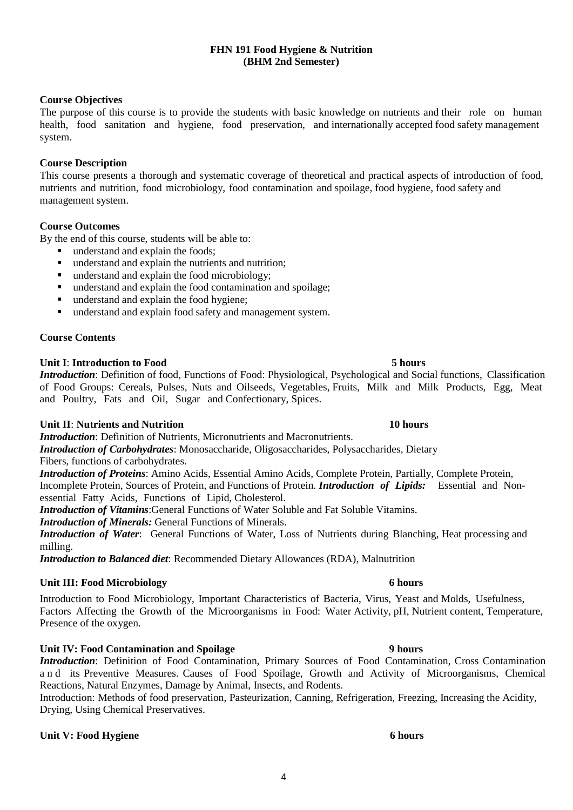### **FHN 191 Food Hygiene & Nutrition (BHM 2nd Semester)**

### **Course Objectives**

The purpose of this course is to provide the students with basic knowledge on nutrients and their role on human health, food sanitation and hygiene, food preservation, and internationally accepted food safety management system.

### **Course Description**

This course presents a thorough and systematic coverage of theoretical and practical aspects of introduction of food, nutrients and nutrition, food microbiology, food contamination and spoilage, food hygiene, food safety and management system.

### **Course Outcomes**

By the end of this course, students will be able to:

- understand and explain the foods;
- understand and explain the nutrients and nutrition;
- 
- understand and explain the food microbiology;<br>■ understand and explain the food contamination ■ understand and explain the food contamination and spoilage;<br>■ understand and explain the food hygiene:
- understand and explain the food hygiene;<br>■ understand and explain food safety and m
- understand and explain food safety and management system.

### **Course Contents**

### **Unit I**: **Introduction to Food 5 hours**

*Introduction*: Definition of food, Functions of Food: Physiological, Psychological and Social functions, Classification of Food Groups: Cereals, Pulses, Nuts and Oilseeds, Vegetables, Fruits, Milk and Milk Products, Egg, Meat and Poultry, Fats and Oil, Sugar and Confectionary, Spices.

### **Unit II**: **Nutrients and Nutrition** 10 hours

*Introduction:* Definition of Nutrients, Micronutrients and Macronutrients.

*Introduction of Carbohydrates*: Monosaccharide, Oligosaccharides, Polysaccharides, Dietary Fibers, functions of carbohydrates.

*Introduction of Proteins*: Amino Acids, Essential Amino Acids, Complete Protein, Partially, Complete Protein, Incomplete Protein, Sources of Protein, and Functions of Protein. *Introduction of Lipids:* Essential and Nonessential Fatty Acids, Functions of Lipid, Cholesterol.

*Introduction of Vitamins*:General Functions of Water Soluble and Fat Soluble Vitamins.

*Introduction of Minerals:* General Functions of Minerals.

*Introduction of Water*: General Functions of Water, Loss of Nutrients during Blanching, Heat processing and milling.

*Introduction to Balanced diet*: Recommended Dietary Allowances (RDA), Malnutrition

### **Unit III: Food Microbiology 6 hours**

Introduction to Food Microbiology, Important Characteristics of Bacteria, Virus, Yeast and Molds, Usefulness, Factors Affecting the Growth of the Microorganisms in Food: Water Activity, pH, Nutrient content, Temperature, Presence of the oxygen.

### **Unit IV: Food Contamination and Spoilage 9 hours**

*Introduction*: Definition of Food Contamination, Primary Sources of Food Contamination, Cross Contamination a n d its Preventive Measures. Causes of Food Spoilage, Growth and Activity of Microorganisms, Chemical Reactions, Natural Enzymes, Damage by Animal, Insects, and Rodents.

Introduction: Methods of food preservation, Pasteurization, Canning, Refrigeration, Freezing, Increasing the Acidity, Drying, Using Chemical Preservatives.

### **Unit V:** Food **Hygiene** 6 **hours**